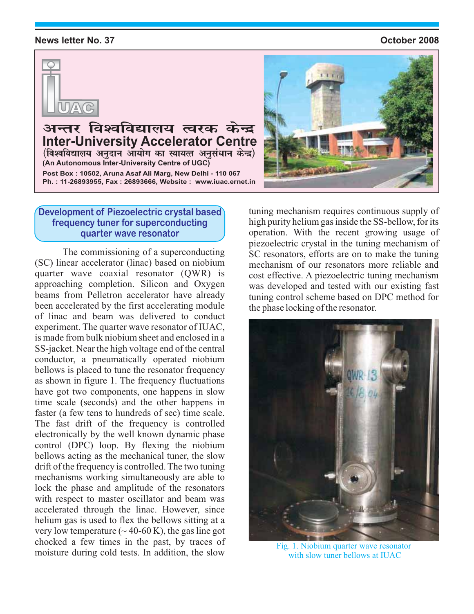#### **News letter No. 37**

#### October 2008



अन्तर विश्वविद्यालय त्वरक केन्द्र<br>Inter-University Accelerator Centre **Inter-University Accelerator Centre ¼fo'ofo|ky; vuqnku vk;ksx dk Lok;Rr vuqla/kku dsUnz½** Ph.: 11-26893955, Fax: 26893666, Website: www.iuac.ernet.in **Ph. : 11-26893955, Fax : 26893695, Ph. : www.iuac.ernet.in (An Autonomous Inter-University Centre of UGC)**

#### **Development of Piezoelectric crystal based frequency tuner for superconducting quarter wave resonator**

The commissioning of a superconducting (SC) linear accelerator (linac) based on niobium quarter wave coaxial resonator (QWR) is approaching completion. Silicon and Oxygen beams from Pelletron accelerator have already been accelerated by the first accelerating module of linac and beam was delivered to conduct experiment. The quarter wave resonator of IUAC, is made from bulk niobium sheet and enclosed in a SS-jacket. Near the high voltage end of the central conductor, a pneumatically operated niobium bellows is placed to tune the resonator frequency as shown in figure 1. The frequency fluctuations have got two components, one happens in slow time scale (seconds) and the other happens in faster (a few tens to hundreds of sec) time scale. The fast drift of the frequency is controlled electronically by the well known dynamic phase control (DPC) loop. By flexing the niobium bellows acting as the mechanical tuner, the slow drift of the frequency is controlled. The two tuning mechanisms working simultaneously are able to lock the phase and amplitude of the resonators with respect to master oscillator and beam was accelerated through the linac. However, since helium gas is used to flex the bellows sitting at a very low temperature  $({\sim} 40{\text -}60 \text{ K})$ , the gas line got chocked a few times in the past, by traces of moisture during cold tests. In addition, the slow



tuning mechanism requires continuous supply of high purity helium gas inside the SS-bellow, for its operation. With the recent growing usage of piezoelectric crystal in the tuning mechanism of SC resonators, efforts are on to make the tuning mechanism of our resonators more reliable and cost effective. A piezoelectric tuning mechanism was developed and tested with our existing fast tuning control scheme based on DPC method for the phase locking of the resonator.



Fig. 1. Niobium quarter wave resonator with slow tuner bellows at **IUAC**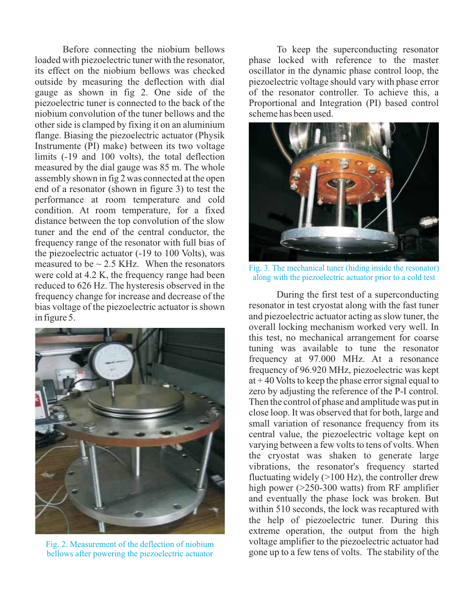Before connecting the niobium bellows loaded with piezoelectric tuner with the resonator, its effect on the niobium bellows was checked outside by measuring the deflection with dial gauge as shown in fig 2. One side of the piezoelectric tuner is connected to the back of the niobium convolution of the tuner bellows and the other side is clamped by fixing it on an aluminium flange. Biasing the piezoelectric actuator (Physik Instrumente (PI) make) between its two voltage limits (-19 and 100 volts), the total deflection measured by the dial gauge was 85 m. The whole assembly shown in fig 2 was connected at the open end of a resonator (shown in figure 3) to test the performance at room temperature and cold condition. At room temperature, for a fixed distance between the top convolution of the slow tuner and the end of the central conductor, the frequency range of the resonator with full bias of the piezoelectric actuator (-19 to 100 Volts), was measured to be  $\sim$  2.5 KHz. When the resonators were cold at 4.2 K, the frequency range had been reduced to 626 Hz. The hysteresis observed in the frequency change for increase and decrease of the bias voltage of the piezoelectric actuator is shown in figure 5.



Fig. 2. Measurement of the deflection of niobium bellows after powering the piezoelectric actuator

To keep the superconducting resonator phase locked with reference to the master oscillator in the dynamic phase control loop, the piezoelectric voltage should vary with phase error of the resonator controller. To achieve this, a Proportional and Integration (PI) based control scheme has been used.



Fig. 3. The mechanical tuner (hiding inside the resonator) along with the piezoelectric actuator prior to a cold test

During the first test of a superconducting resonator in test cryostat along with the fast tuner and piezoelectric actuator acting as slow tuner, the overall locking mechanism worked very well. In this test, no mechanical arrangement for coarse tuning was available to tune the resonator frequency at 97.000 MHz. At a resonance frequency of 96.920 MHz, piezoelectric was kept at  $+40$  Volts to keep the phase error signal equal to zero by adjusting the reference of the P-I control. Then the control of phase and amplitude was put in close loop. It was observed that for both, large and small variation of resonance frequency from its central value, the piezoelectric voltage kept on varying between a few volts to tens of volts. When the cryostat was shaken to generate large vibrations, the resonator's frequency started fluctuating widely  $(>100 \text{ Hz})$ , the controller drew high power ( $>250-300$  watts) from RF amplifier and eventually the phase lock was broken. But within 510 seconds, the lock was recaptured with the help of piezoelectric tuner. During this extreme operation, the output from the high voltage amplifier to the piezoelectric actuator had gone up to a few tens of volts. The stability of the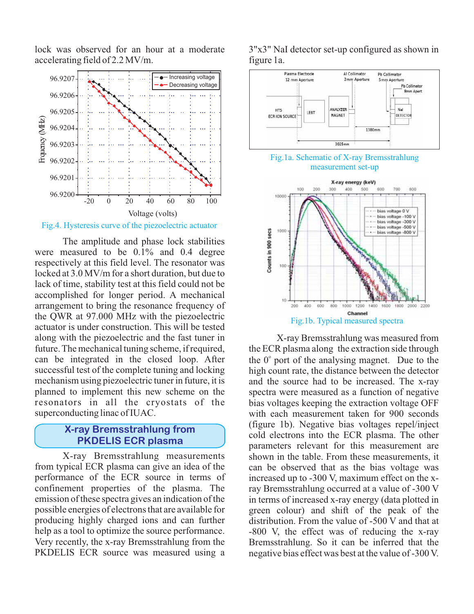lock was observed for an hour at a moderate accelerating field of 2.2 MV/m.



Fig.4. Hysteresis curve of the piezoelectric actuator

The amplitude and phase lock stabilities were measured to be 0.1% and 0.4 degree respectively at this field level. The resonator was locked at 3.0 MV/m for a short duration, but due to lack of time, stability test at this field could not be accomplished for longer period. A mechanical arrangement to bring the resonance frequency of the QWR at 97.000 MHz with the piezoelectric actuator is under construction. This will be tested along with the piezoelectric and the fast tuner in future. The mechanical tuning scheme, if required, can be integrated in the closed loop. After successful test of the complete tuning and locking mechanism using piezoelectric tuner in future, it is planned to implement this new scheme on the resonators in all the cryostats of the superconducting linac of IUAC.

#### **X-ray Bremsstrahlung from PKDELIS ECR plasma**

X-ray Bremsstrahlung measurements from typical ECR plasma can give an idea of the performance of the ECR source in terms of confinement properties of the plasma. The emission of these spectra gives an indication of the possible energies of electrons that are available for producing highly charged ions and can further help as a tool to optimize the source performance. Very recently, the x-ray Bremsstrahlung from the PKDELIS ECR source was measured using a



3"x3" NaI detector set-up configured as shown in figure 1a.





X-ray Bremsstrahlung was measured from the ECR plasma along the extraction side through the  $0^{\circ}$  port of the analysing magnet. Due to the high count rate, the distance between the detector and the source had to be increased. The x-ray spectra were measured as a function of negative bias voltages keeping the extraction voltage OFF with each measurement taken for 900 seconds (figure 1b). Negative bias voltages repel/inject cold electrons into the ECR plasma. The other parameters relevant for this measurement are shown in the table. From these measurements, it can be observed that as the bias voltage was increased up to -300 V, maximum effect on the xray Bremsstrahlung occurred at a value of -300 V in terms of increased x-ray energy (data plotted in green colour) and shift of the peak of the distribution. From the value of -500 V and that at -800 V, the effect was of reducing the x-ray Bremsstrahlung. So it can be inferred that the negative bias effect was best at the value of -300 V.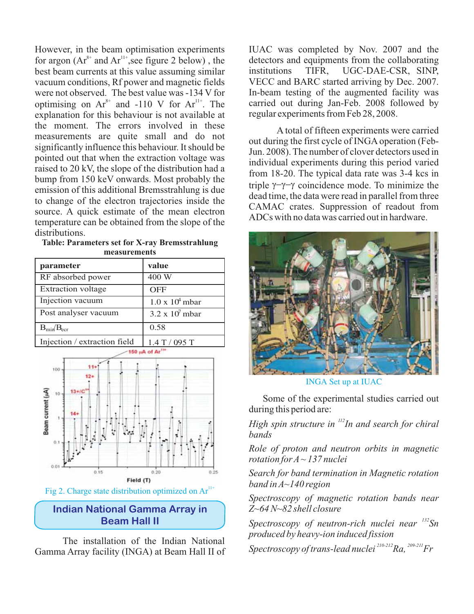However, in the beam optimisation experiments for argon  $(Ar^{8+}$  and  $Ar^{11+}$ , see figure 2 below), the best beam currents at this value assuming similar vacuum conditions, Rf power and magnetic fields were not observed. The best value was -134 V for optimising on  $Ar^{8+}$  and -110 V for  $Ar^{11+}$ . The explanation for this behaviour is not available at the moment. The errors involved in these measurements are quite small and do not significantly influence this behaviour. It should be pointed out that when the extraction voltage was raised to 20 kV, the slope of the distribution had a bump from 150 keV onwards. Most probably the emission of this additional Bremsstrahlung is due to change of the electron trajectories inside the source. A quick estimate of the mean electron temperature can be obtained from the slope of the distributions.

**Table: Parameters set for X-ray Bremsstrahlung measurements**

| parameter                       | value                  |
|---------------------------------|------------------------|
| RF absorbed power               | 400 W                  |
| <b>Extraction</b> voltage       | OFF                    |
| Injection vacuum                | $1.0 \times 10^4$ mbar |
| Post analyser vacuum            | $3.2 \times 10^7$ mbar |
| $B_{\text{min}}/B_{\text{ecr}}$ | 0.58                   |
| Injection / extraction field    | $1.4$ T / 095 T        |



Fig 2. Charge state distribution optimized on  $Ar^{11+}$ 

### **Indian National Gamma Array in Beam Hall II**

The installation of the Indian National Gamma Array facility (INGA) at Beam Hall II of IUAC was completed by Nov. 2007 and the detectors and equipments from the collaborating institutions TIFR, UGC-DAE-CSR, SINP, VECC and BARC started arriving by Dec. 2007. In-beam testing of the augmented facility was carried out during Jan-Feb. 2008 followed by regular experiments from Feb 28, 2008.

A total of fifteen experiments were carried out during the first cycle of INGA operation (Feb-Jun. 2008). The number of clover detectors used in individual experiments during this period varied from 18-20. The typical data rate was 3-4 kcs in triple  $\gamma-\gamma-\gamma$  coincidence mode. To minimize the dead time, the data were read in parallel from three CAMAC crates. Suppression of readout from ADCs with no data was carried out in hardware.



INGA Set up at IUAC

Some of the experimental studies carried out during this period are:

*High spin structure in*  $\binom{112}{11}$  and search for chiral *bands*

*Role of proton and neutron orbits in magnetic rotation for A ~ 137 nuclei*

*Search for band termination in Magnetic rotation band in A~140 region*

*Spectroscopy of magnetic rotation bands near Z~64 N~82 shell closure*

Spectroscopy of neutron-rich nuclei near  $^{132}$ Sn *produced by heavy-ion induced fission*

*Spectroscopy of trans-lead nuclei*  $^{210\text{-}212}$ *Ra,*  $^{209\text{-}211}$ *Fr*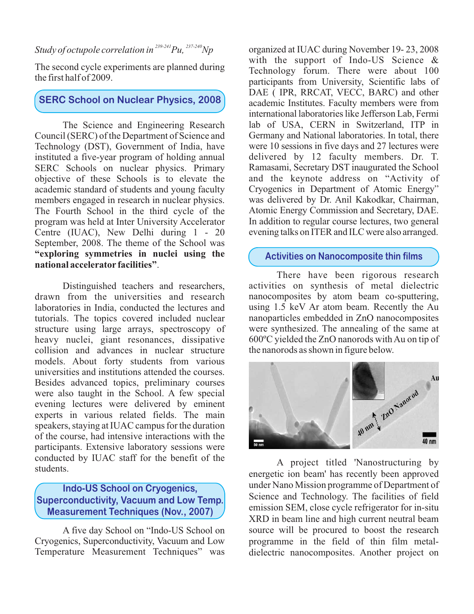### *Study of octupole correlation in*  $239-241$   $Pu,$   $237-240$   $Np$

The second cycle experiments are planned during the first half of 2009.

# **SERC School on Nuclear Physics, 2008**

The Science and Engineering Research Council (SERC) of the Department of Science and Technology (DST), Government of India, have instituted a five-year program of holding annual SERC Schools on nuclear physics. Primary objective of these Schools is to elevate the academic standard of students and young faculty members engaged in research in nuclear physics. The Fourth School in the third cycle of the program was held at Inter University Accelerator Centre (IUAC), New Delhi during 1 - 20 September, 2008. The theme of the School was . **national accelerator facilities" "exploring symmetries in nuclei using the**

Distinguished teachers and researchers, drawn from the universities and research laboratories in India, conducted the lectures and tutorials. The topics covered included nuclear structure using large arrays, spectroscopy of heavy nuclei, giant resonances, dissipative collision and advances in nuclear structure models. About forty students from various universities and institutions attended the courses. Besides advanced topics, preliminary courses were also taught in the School. A few special evening lectures were delivered by eminent experts in various related fields. The main speakers, staying at IUAC campus for the duration of the course, had intensive interactions with the participants. Extensive laboratory sessions were conducted by IUAC staff for the benefit of the students.

## **Indo-US School on Cryogenics, Superconductivity, Vacuum and Low Temp. Measurement Techniques (Nov., 2007)**

A five day School on "Indo-US School on Cryogenics, Superconductivity, Vacuum and Low Temperature Measurement Techniques" was

organized at IUAC during November 19- 23, 2008 with the support of Indo-US Science & Technology forum. There were about 100 participants from University, Scientific labs of DAE ( IPR, RRCAT, VECC, BARC) and other academic Institutes. Faculty members were from international laboratories like Jefferson Lab, Fermi lab of USA, CERN in Switzerland, ITP in Germany and National laboratories. In total, there were 10 sessions in five days and 27 lectures were delivered by 12 faculty members. Dr. T. Ramasami, Secretary DST inaugurated the School and the keynote address on "Activity of Cryogenics in Department of Atomic Energy " was delivered by Dr. Anil Kakodkar, Chairman, Atomic Energy Commission and Secretary, DAE. In addition to regular course lectures, two general evening talks on ITER and ILC were also arranged.

#### **Activities on Nanocomposite thin films**

There have been rigorous research activities on synthesis of metal dielectric nanocomposites by atom beam co-sputtering, using 1.5 keV Ar atom beam. Recently the Au nanoparticles embedded in ZnO nanocomposites were synthesized. The annealing of the same at 600ºC yielded the ZnO nanorods with Au on tip of the nanorods as shown in figure below.



A project titled 'Nanostructuring by energetic ion beam' has recently been approved under Nano Mission programme of Department of Science and Technology. The facilities of field emission SEM, close cycle refrigerator for in-situ XRD in beam line and high current neutral beam source will be procured to boost the research programme in the field of thin film metaldielectric nanocomposites. Another project on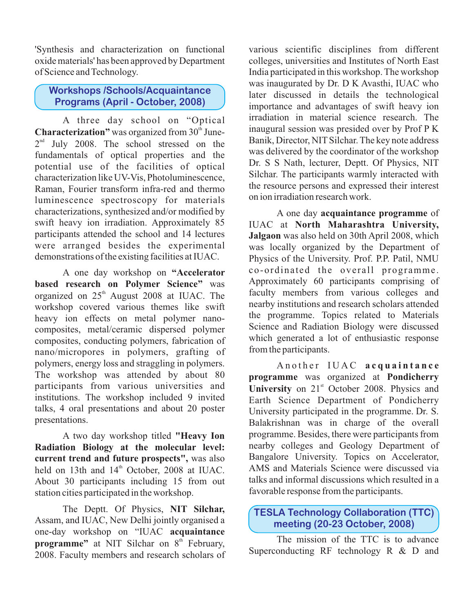'Synthesis and characterization on functional oxide materials' has been approved by Department of Science and Technology.

## **Workshops /Schools/Acquaintance Programs (April - October, 2008)**

A three day school on "Optical Characterization" was organized from 30<sup>th</sup> June- $2<sup>nd</sup>$  July 2008. The school stressed on the fundamentals of optical properties and the potential use of the facilities of optical characterization like UV-Vis, Photoluminescence, Raman, Fourier transform infra-red and thermo luminescence spectroscopy for materials characterizations, synthesized and/or modified by swift heavy ion irradiation. Approximately 85 participants attended the school and 14 lectures were arranged besides the experimental demonstrations of the existing facilities at IUAC.

A one day workshop on **"Accelerator** based research on Polymer Science" was organized on  $25<sup>th</sup>$  August 2008 at IUAC. The workshop covered various themes like swift heavy ion effects on metal polymer nanocomposites, metal/ceramic dispersed polymer composites, conducting polymers, fabrication of nano/micropores in polymers, grafting of polymers, energy loss and straggling in polymers. The workshop was attended by about 80 participants from various universities and institutions. The workshop included 9 invited talks, 4 oral presentations and about 20 poster presentations.

A two day workshop titled **"Heavy Ion** current trend and future prospects", was also held on 13th and  $14<sup>th</sup>$  October, 2008 at IUAC. About 30 participants including 15 from out station cities participated in the workshop. **Radiation Biology at the molecular level:**

The Deptt. Of Physics, **NIT Silchar,** Assam, and IUAC, New Delhi jointly organised a one-day workshop on "IUAC **acquaintance** programme" at NIT Silchar on 8<sup>th</sup> February, 2008. Faculty members and research scholars of various scientific disciplines from different colleges, universities and Institutes of North East India participated in this workshop. The workshop was inaugurated by Dr. D K Avasthi, IUAC who later discussed in details the technological importance and advantages of swift heavy ion irradiation in material science research. The inaugural session was presided over by Prof P K Banik, Director, NIT Silchar. The key note address was delivered by the coordinator of the workshop Dr. S S Nath, lecturer, Deptt. Of Physics, NIT Silchar. The participants warmly interacted with the resource persons and expressed their interest on ion irradiation research work.

A one day **acquaintance** programme of IUAC at **North Maharashtra University,** Jalgaon was also held on 30th April 2008, which was locally organized by the Department of Physics of the University. Prof. P.P. Patil, NMU Approximately 60 participants comprising of faculty members from various colleges and nearby institutions and research scholars attended the programme. Topics related to Materials Science and Radiation Biology were discussed which generated a lot of enthusiastic response from the participants. co-ordinated the overall programme.

Another IUAC **acquaintance** programme was organized at Pondicherry University on 21<sup>st</sup> October 2008. Physics and Earth Science Department of Pondicherry University participated in the programme. Dr. S. programme. Besides, there were participants from nearby colleges and Geology Department of Bangalore University. Topics on Accelerator, AMS and Materials Science were discussed via talks and informal discussions which resulted in a favorable response from the participants. Balakrishnan was in charge of the overall

# **TESLA Technology Collaboration (TTC) meeting (20-23 October, 2008)**

The mission of the TTC is to advance Superconducting RF technology R & D and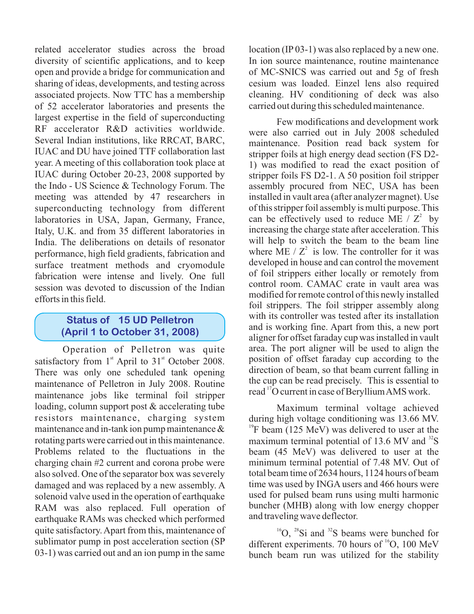related accelerator studies across the broad diversity of scientific applications, and to keep open and provide a bridge for communication and sharing of ideas, developments, and testing across associated projects. Now TTC has a membership of 52 accelerator laboratories and presents the largest expertise in the field of superconducting RF accelerator R&D activities worldwide. Several Indian institutions, like RRCAT, BARC, IUAC and DU have joined TTF collaboration last year. A meeting of this collaboration took place at IUAC during October 20-23, 2008 supported by the Indo - US Science & Technology Forum. The meeting was attended by 47 researchers in superconducting technology from different laboratories in USA, Japan, Germany, France, Italy, U.K. and from 35 different laboratories in India. The deliberations on details of resonator performance, high field gradients, fabrication and surface treatment methods and cryomodule fabrication were intense and lively. One full session was devoted to discussion of the Indian efforts in this field.

### **Status of 15 UD Pelletron (April 1 to October 31, 2008)**

Operation of Pelletron was quite satisfactory from  $1<sup>st</sup>$  April to  $31<sup>st</sup>$  October 2008. There was only one scheduled tank opening maintenance of Pelletron in July 2008. Routine maintenance jobs like terminal foil stripper loading, column support post & accelerating tube resistors maintenance, charging system maintenance and in-tank ion pump maintenance & rotating parts were carried out in this maintenance. Problems related to the fluctuations in the charging chain #2 current and corona probe were also solved. One of the separator box was severely damaged and was replaced by a new assembly. A solenoid valve used in the operation of earthquake RAM was also replaced. Full operation of earthquake RAMs was checked which performed quite satisfactory. Apart from this, maintenance of sublimator pump in post acceleration section (SP 03-1) was carried out and an ion pump in the same

location (IP 03-1) was also replaced by a new one. In ion source maintenance, routine maintenance of MC-SNICS was carried out and 5g of fresh cesium was loaded. Einzel lens also required cleaning. HV conditioning of deck was also carried out during this scheduled maintenance.

Few modifications and development work were also carried out in July 2008 scheduled maintenance. Position read back system for stripper foils at high energy dead section (FS D2- 1) was modified to read the exact position of stripper foils FS D2-1. A 50 position foil stripper assembly procured from NEC, USA has been installed in vault area (after analyzer magnet). Use of this stripper foil assembly is multi purpose. This can be effectively used to reduce ME /  $Z^2$  by increasing the charge state after acceleration. This will help to switch the beam to the beam line where ME  $/Z^2$  is low. The controller for it was developed in house and can control the movement of foil strippers either locally or remotely from control room. CAMAC crate in vault area was modified for remote control of this newly installed foil strippers. The foil stripper assembly along with its controller was tested after its installation and is working fine. Apart from this, a new port aligner for offset faraday cup was installed in vault area. The port aligner will be used to align the position of offset faraday cup according to the direction of beam, so that beam current falling in the cup can be read precisely. This is essential to read  $^{17}$ O current in case of Beryllium AMS work.

Maximum terminal voltage achieved during high voltage conditioning was 13.66 MV.  $^{19}$ F beam (125 MeV) was delivered to user at the maximum terminal potential of 13.6 MV and  $^{32}$ S beam (45 MeV) was delivered to user at the minimum terminal potential of 7.48 MV. Out of total beam time of 2634 hours, 1124 hours of beam time was used by INGA users and 466 hours were used for pulsed beam runs using multi harmonic buncher (MHB) along with low energy chopper and traveling wave deflector.

 $^{16}O$ ,  $^{28}Si$  and  $^{32}S$  beams were bunched for different experiments. 70 hours of  $^{16}O$ , 100 MeV bunch beam run was utilized for the stability